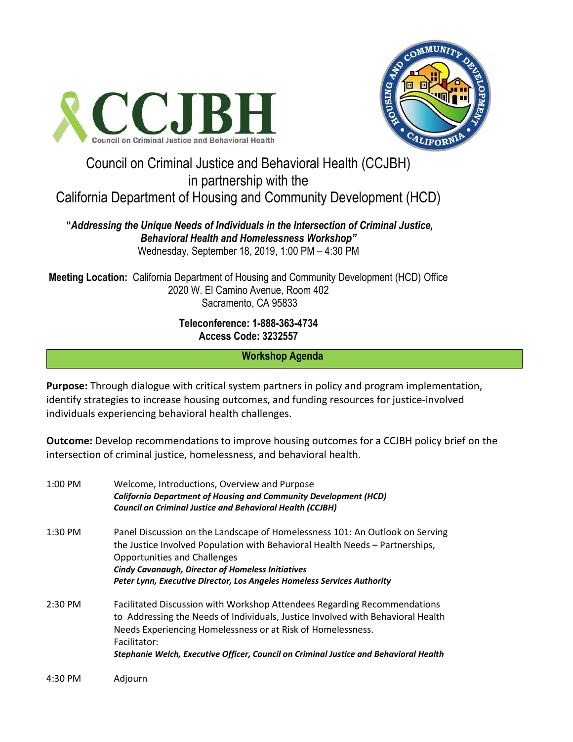



# Council on Criminal Justice and Behavioral Health (CCJBH) in partnership with the

California Department of Housing and Community Development (HCD)

## **"***Addressing the Unique Needs of Individuals in the Intersection of Criminal Justice, Behavioral Health and Homelessness Workshop"* Wednesday, September 18, 2019, 1:00 PM – 4:30 PM

**Meeting Location:** California Department of Housing and Community Development (HCD) Office 2020 W. El Camino Avenue, Room 402 Sacramento, CA 95833

## **Teleconference: 1-888-363-4734 Access Code: 3232557**

**Workshop Agenda** 

**Purpose:** Through dialogue with critical system partners in policy and program implementation, identify strategies to increase housing outcomes, and funding resources for justice-involved individuals experiencing behavioral health challenges.

**Outcome:** Develop recommendations to improve housing outcomes for a CCJBH policy brief on the intersection of criminal justice, homelessness, and behavioral health.

| $1:00$ PM | Welcome, Introductions, Overview and Purpose<br><b>California Department of Housing and Community Development (HCD)</b><br><b>Council on Criminal Justice and Behavioral Health (CCJBH)</b>                                                                                                                                                |
|-----------|--------------------------------------------------------------------------------------------------------------------------------------------------------------------------------------------------------------------------------------------------------------------------------------------------------------------------------------------|
| $1:30$ PM | Panel Discussion on the Landscape of Homelessness 101: An Outlook on Serving<br>the Justice Involved Population with Behavioral Health Needs - Partnerships,<br><b>Opportunities and Challenges</b><br><b>Cindy Cavanaugh, Director of Homeless Initiatives</b><br>Peter Lynn, Executive Director, Los Angeles Homeless Services Authority |
| $2:30$ PM | Facilitated Discussion with Workshop Attendees Regarding Recommendations<br>to Addressing the Needs of Individuals, Justice Involved with Behavioral Health<br>Needs Experiencing Homelessness or at Risk of Homelessness.<br>Facilitator:<br>Stephanie Welch, Executive Officer, Council on Criminal Justice and Behavioral Health        |
| 4:30 PM   | Adjourn                                                                                                                                                                                                                                                                                                                                    |